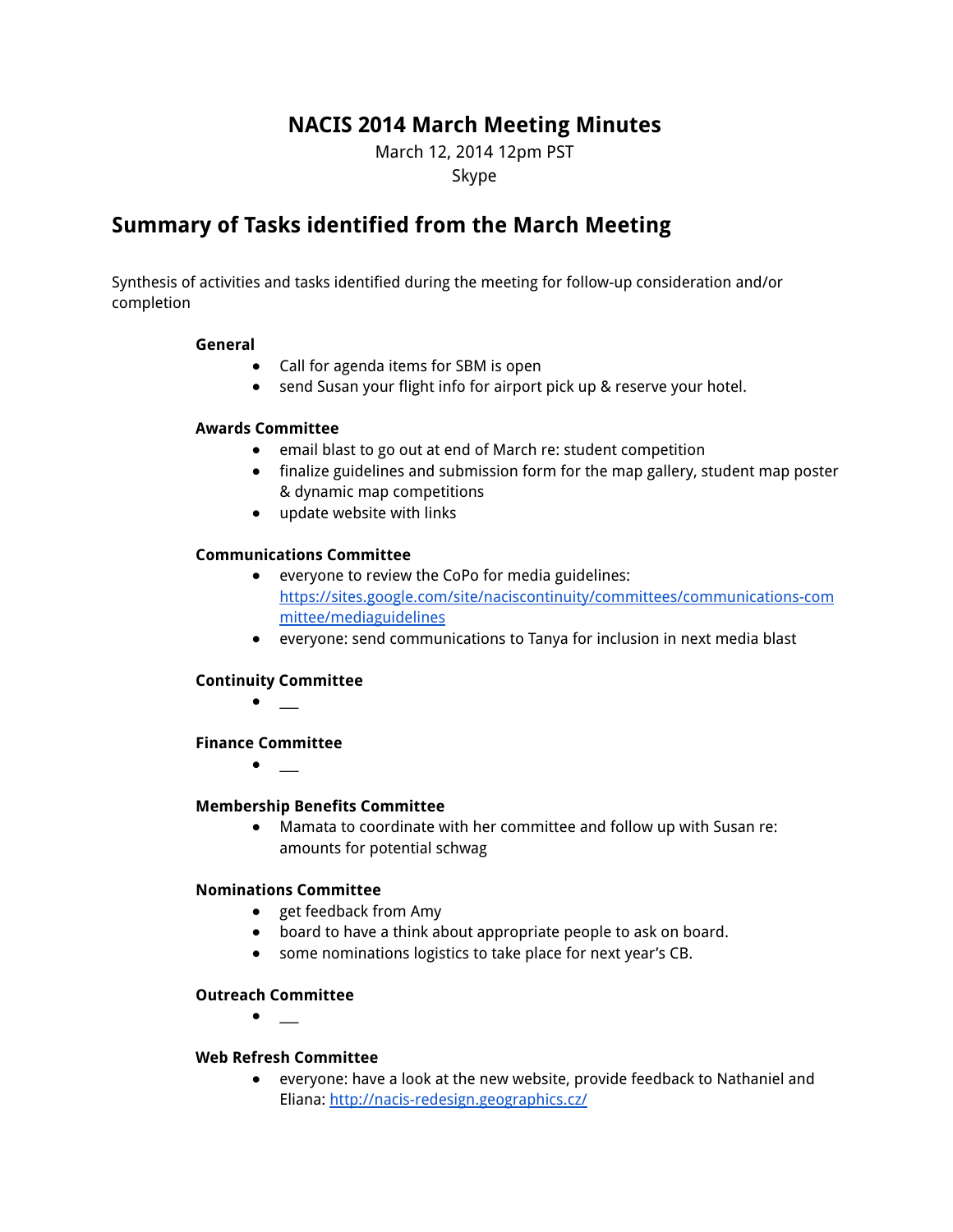# **NACIS 2014 March Meeting Minutes**

March 12, 2014 12pm PST Skype

# **Summary of Tasks identified from the March Meeting**

Synthesis of activities and tasks identified during the meeting for follow-up consideration and/or completion

#### **General**

- Call for agenda items for SBM is open
- send Susan your flight info for airport pick up & reserve your hotel.

#### **Awards Committee**

- **●** email blast to go out at end of March re: student competition
- finalize guidelines and submission form for the map gallery, student map poster & dynamic map competitions
- update website with links

#### **Communications Committee**

- everyone to review the CoPo for media guidelines: https://sites.google.com/site/naciscontinuity/committees/communications-com mittee/mediaguidelines
- **●** everyone: send communications to Tanya for inclusion in next media blast

#### **Continuity Committee**

**●** \_\_\_

#### **Finance Committee**

**●** \_\_\_

#### **Membership Benefits Committee**

**●** Mamata to coordinate with her committee and follow up with Susan re: amounts for potential schwag

## **Nominations Committee**

- **●** get feedback from Amy
- **●** board to have a think about appropriate people to ask on board.
- **●** some nominations logistics to take place for next year's CB.

#### **Outreach Committee**

**●** \_\_\_

#### **Web Refresh Committee**

**●** everyone: have a look at the new website, provide feedback to Nathaniel and Eliana: http://nacis-redesign.geographics.cz/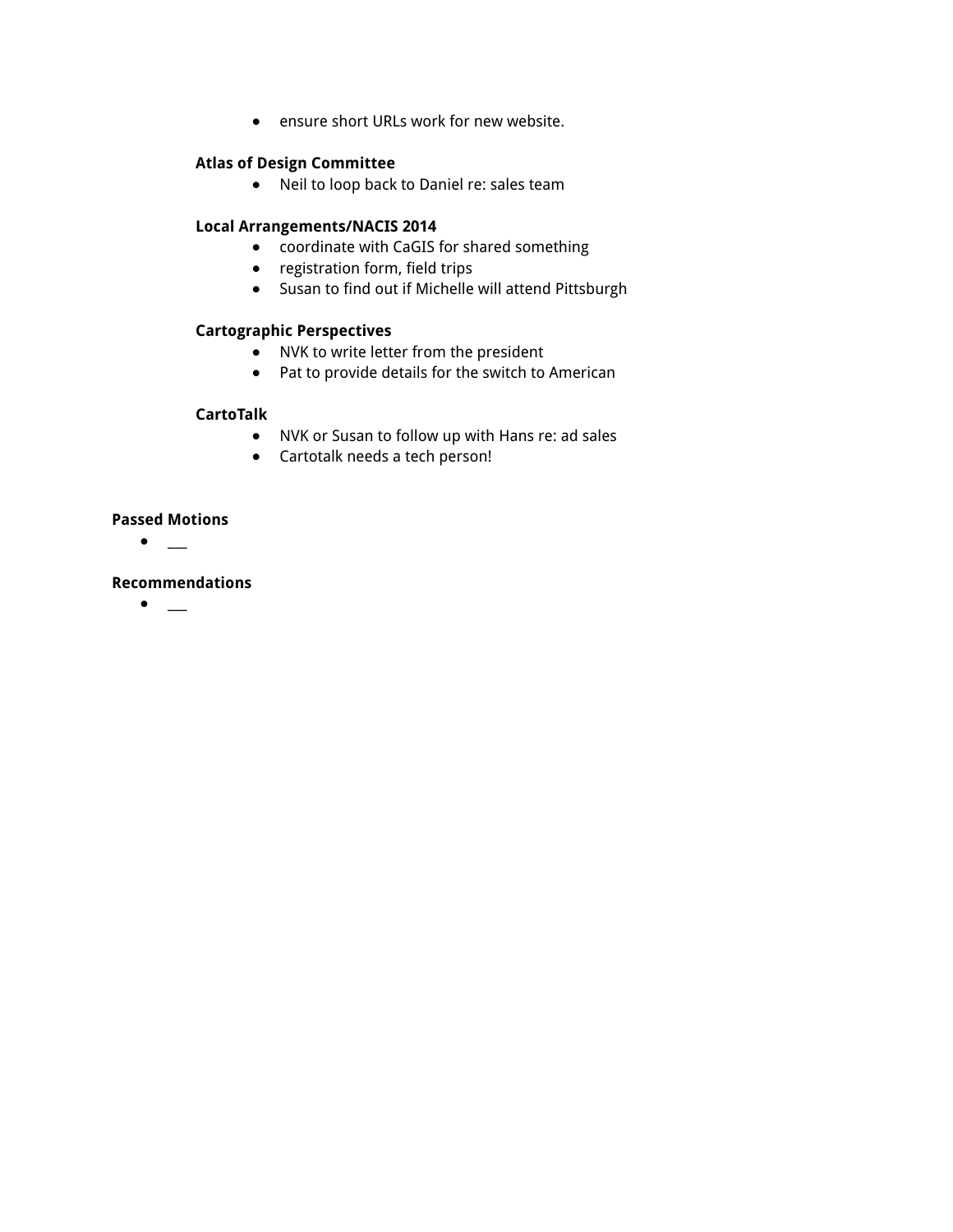**●** ensure short URLs work for new website.

#### **Atlas of Design Committee**

**●** Neil to loop back to Daniel re: sales team

#### **Local Arrangements/NACIS 2014**

- coordinate with CaGIS for shared something
- registration form, field trips
- Susan to find out if Michelle will attend Pittsburgh

#### **Cartographic Perspectives**

- **●** NVK to write letter from the president
- **●** Pat to provide details for the switch to American

#### **CartoTalk**

- **●** NVK or Susan to follow up with Hans re: ad sales
- **●** Cartotalk needs a tech person!

#### **Passed Motions**

**●** \_\_\_

## **Recommendations**

**●** \_\_\_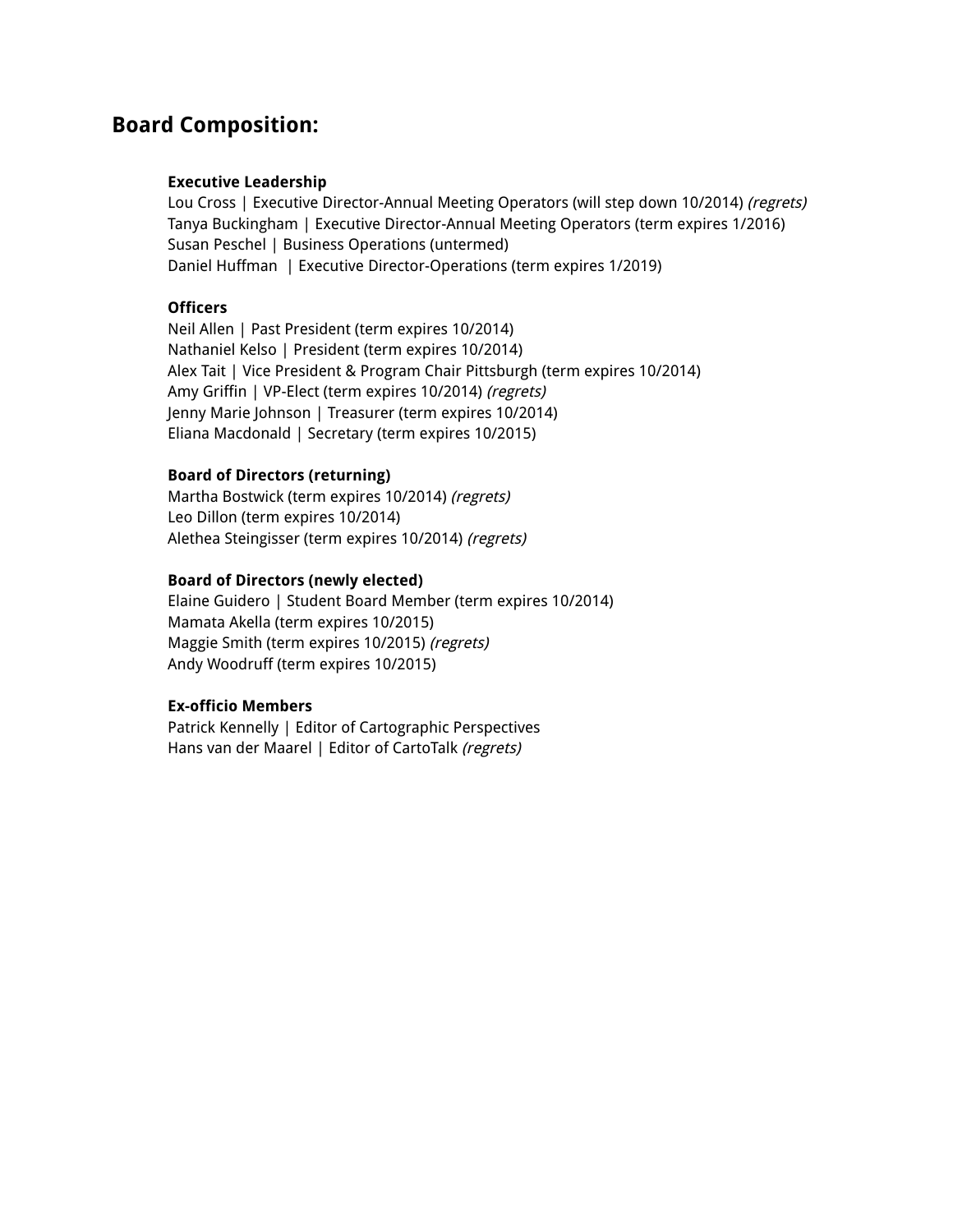# **Board Composition:**

#### **Executive Leadership**

Lou Cross | Executive Director-Annual Meeting Operators (will step down 10/2014) (regrets) Tanya Buckingham | Executive Director-Annual Meeting Operators (term expires 1/2016) Susan Peschel | Business Operations (untermed) Daniel Huffman | Executive Director-Operations (term expires 1/2019)

#### **Officers**

Neil Allen | Past President (term expires 10/2014) Nathaniel Kelso | President (term expires 10/2014) Alex Tait | Vice President & Program Chair Pittsburgh (term expires 10/2014) Amy Griffin | VP-Elect (term expires 10/2014) (regrets) Jenny Marie Johnson | Treasurer (term expires 10/2014) Eliana Macdonald | Secretary (term expires 10/2015)

#### **Board of Directors (returning)**

Martha Bostwick (term expires 10/2014) (regrets) Leo Dillon (term expires 10/2014) Alethea Steingisser (term expires 10/2014) (regrets)

#### **Board of Directors (newly elected)**

Elaine Guidero | Student Board Member (term expires 10/2014) Mamata Akella (term expires 10/2015) Maggie Smith (term expires 10/2015) (regrets) Andy Woodruff (term expires 10/2015)

#### **Ex-officio Members**

Patrick Kennelly | Editor of Cartographic Perspectives Hans van der Maarel | Editor of CartoTalk (regrets)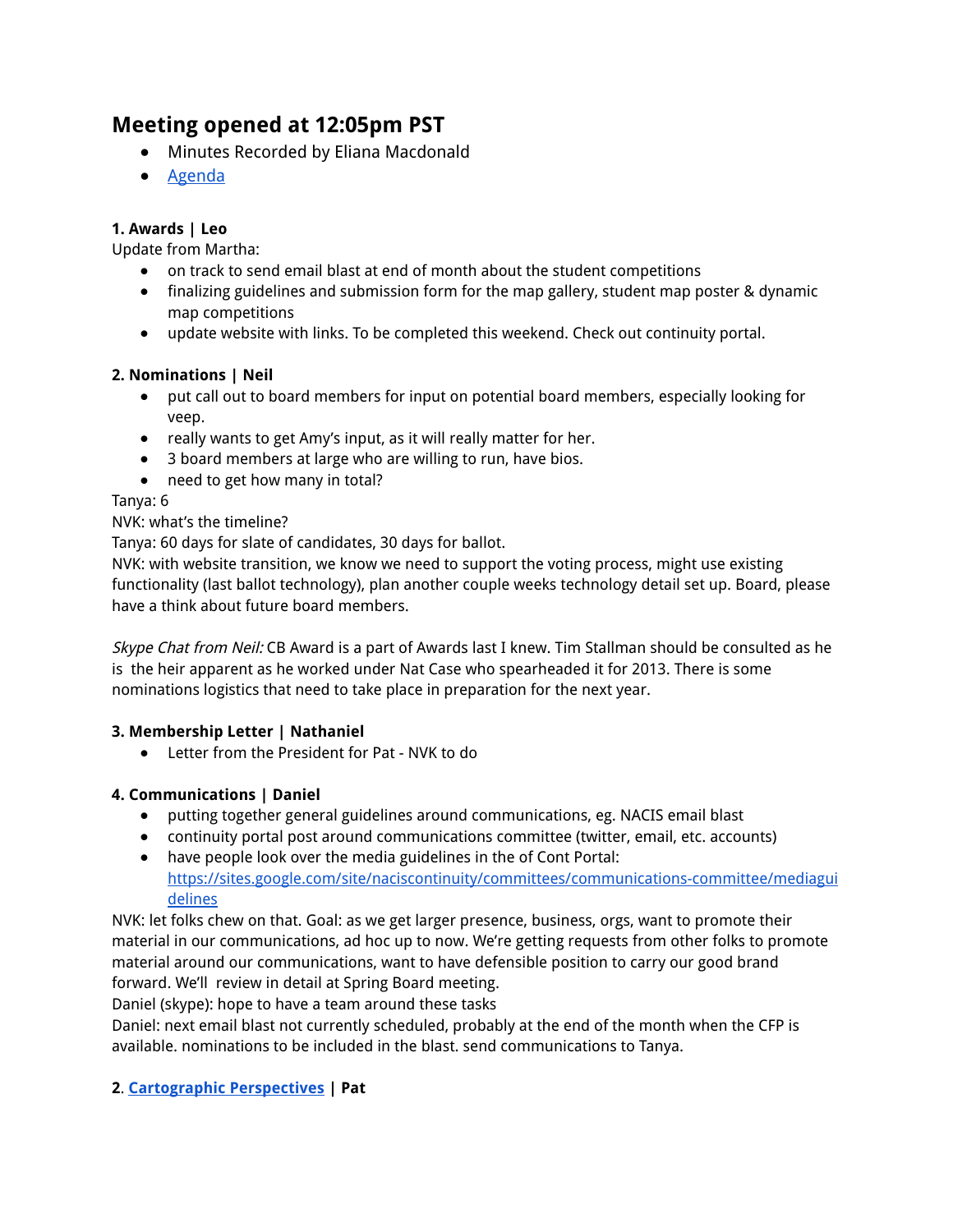# **Meeting opened at 12:05pm PST**

- Minutes Recorded by Eliana Macdonald
- Agenda

# **1. Awards | Leo**

Update from Martha:

- on track to send email blast at end of month about the student competitions
- finalizing guidelines and submission form for the map gallery, student map poster & dynamic map competitions
- update website with links. To be completed this weekend. Check out continuity portal.

## **2. Nominations | Neil**

- put call out to board members for input on potential board members, especially looking for veep.
- really wants to get Amy's input, as it will really matter for her.
- 3 board members at large who are willing to run, have bios.
- need to get how many in total?

Tanya: 6

## NVK: what's the timeline?

Tanya: 60 days for slate of candidates, 30 days for ballot.

NVK: with website transition, we know we need to support the voting process, might use existing functionality (last ballot technology), plan another couple weeks technology detail set up. Board, please have a think about future board members.

Skype Chat from Neil: CB Award is a part of Awards last I knew. Tim Stallman should be consulted as he is the heir apparent as he worked under Nat Case who spearheaded it for 2013. There is some nominations logistics that need to take place in preparation for the next year.

# **3. Membership Letter | Nathaniel**

● Letter from the President for Pat - NVK to do

# **4. Communications | Daniel**

- putting together general guidelines around communications, eg. NACIS email blast
- continuity portal post around communications committee (twitter, email, etc. accounts)
- have people look over the media guidelines in the of Cont Portal: https://sites.google.com/site/naciscontinuity/committees/communications-committee/mediagui delines

NVK: let folks chew on that. Goal: as we get larger presence, business, orgs, want to promote their material in our communications, ad hoc up to now. We're getting requests from other folks to promote material around our communications, want to have defensible position to carry our good brand forward. We'll review in detail at Spring Board meeting.

Daniel (skype): hope to have a team around these tasks

Daniel: next email blast not currently scheduled, probably at the end of the month when the CFP is available. nominations to be included in the blast. send communications to Tanya.

# **2**. **Cartographic Perspectives | Pat**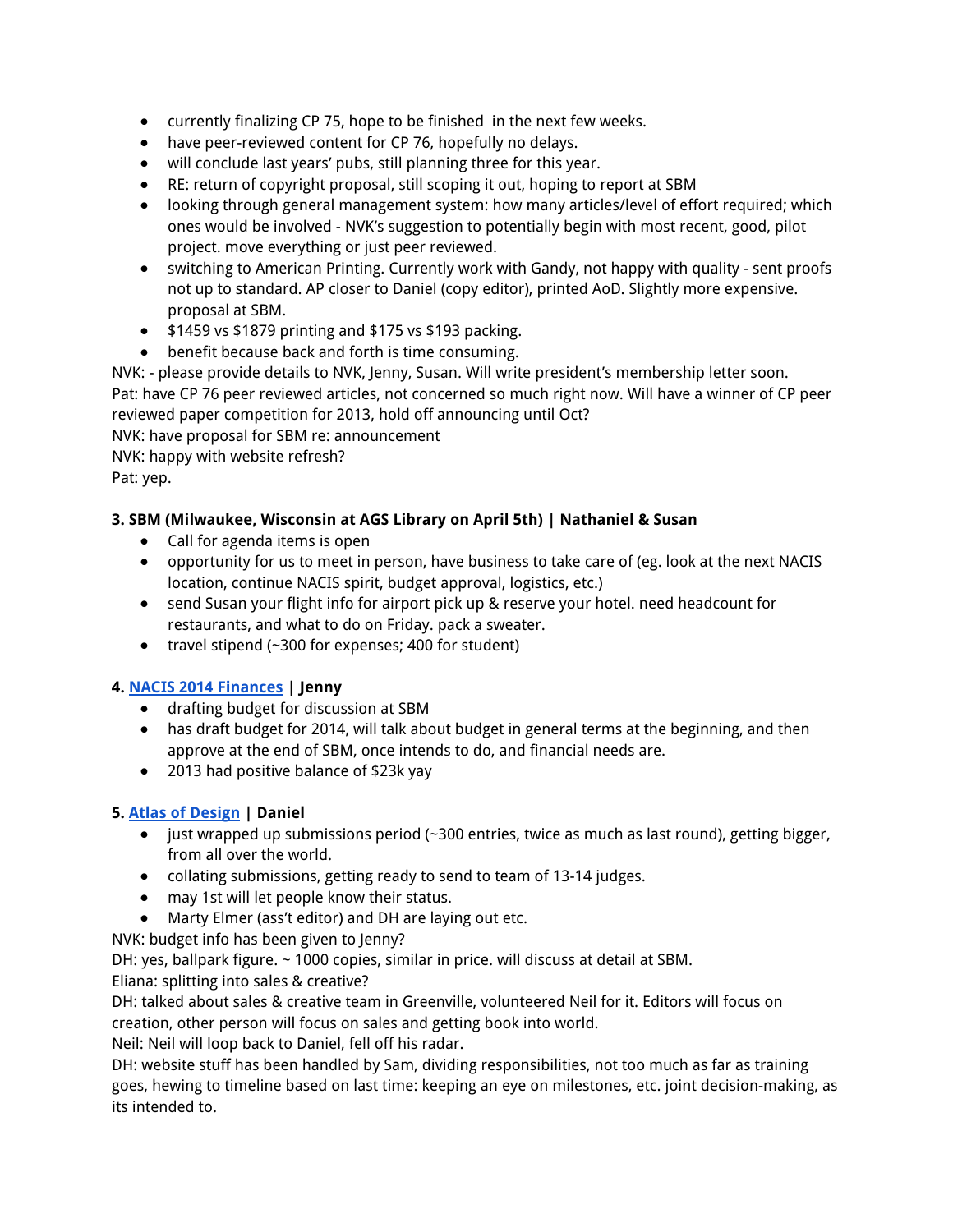- currently finalizing CP 75, hope to be finished in the next few weeks.
- have peer-reviewed content for CP 76, hopefully no delays.
- will conclude last years' pubs, still planning three for this year.
- RE: return of copyright proposal, still scoping it out, hoping to report at SBM
- looking through general management system: how many articles/level of effort required; which ones would be involved - NVK's suggestion to potentially begin with most recent, good, pilot project. move everything or just peer reviewed.
- switching to American Printing. Currently work with Gandy, not happy with quality sent proofs not up to standard. AP closer to Daniel (copy editor), printed AoD. Slightly more expensive. proposal at SBM.
- \$1459 vs \$1879 printing and \$175 vs \$193 packing.
- benefit because back and forth is time consuming.

NVK: - please provide details to NVK, Jenny, Susan. Will write president's membership letter soon. Pat: have CP 76 peer reviewed articles, not concerned so much right now. Will have a winner of CP peer reviewed paper competition for 2013, hold off announcing until Oct?

NVK: have proposal for SBM re: announcement

NVK: happy with website refresh?

Pat: yep.

## **3. SBM (Milwaukee, Wisconsin at AGS Library on April 5th) | Nathaniel & Susan**

- Call for agenda items is open
- opportunity for us to meet in person, have business to take care of (eg. look at the next NACIS location, continue NACIS spirit, budget approval, logistics, etc.)
- send Susan your flight info for airport pick up & reserve your hotel. need headcount for restaurants, and what to do on Friday. pack a sweater.
- travel stipend (~300 for expenses; 400 for student)

## **4. NACIS 2014 Finances | Jenny**

- drafting budget for discussion at SBM
- has draft budget for 2014, will talk about budget in general terms at the beginning, and then approve at the end of SBM, once intends to do, and financial needs are.
- 2013 had positive balance of \$23k yay

## **5. Atlas of Design | Daniel**

- just wrapped up submissions period (~300 entries, twice as much as last round), getting bigger, from all over the world.
- collating submissions, getting ready to send to team of 13-14 judges.
- may 1st will let people know their status.
- Marty Elmer (ass't editor) and DH are laying out etc.

NVK: budget info has been given to Jenny?

DH: yes, ballpark figure. ~ 1000 copies, similar in price. will discuss at detail at SBM.

Eliana: splitting into sales & creative?

DH: talked about sales & creative team in Greenville, volunteered Neil for it. Editors will focus on creation, other person will focus on sales and getting book into world.

Neil: Neil will loop back to Daniel, fell off his radar.

DH: website stuff has been handled by Sam, dividing responsibilities, not too much as far as training goes, hewing to timeline based on last time: keeping an eye on milestones, etc. joint decision-making, as its intended to.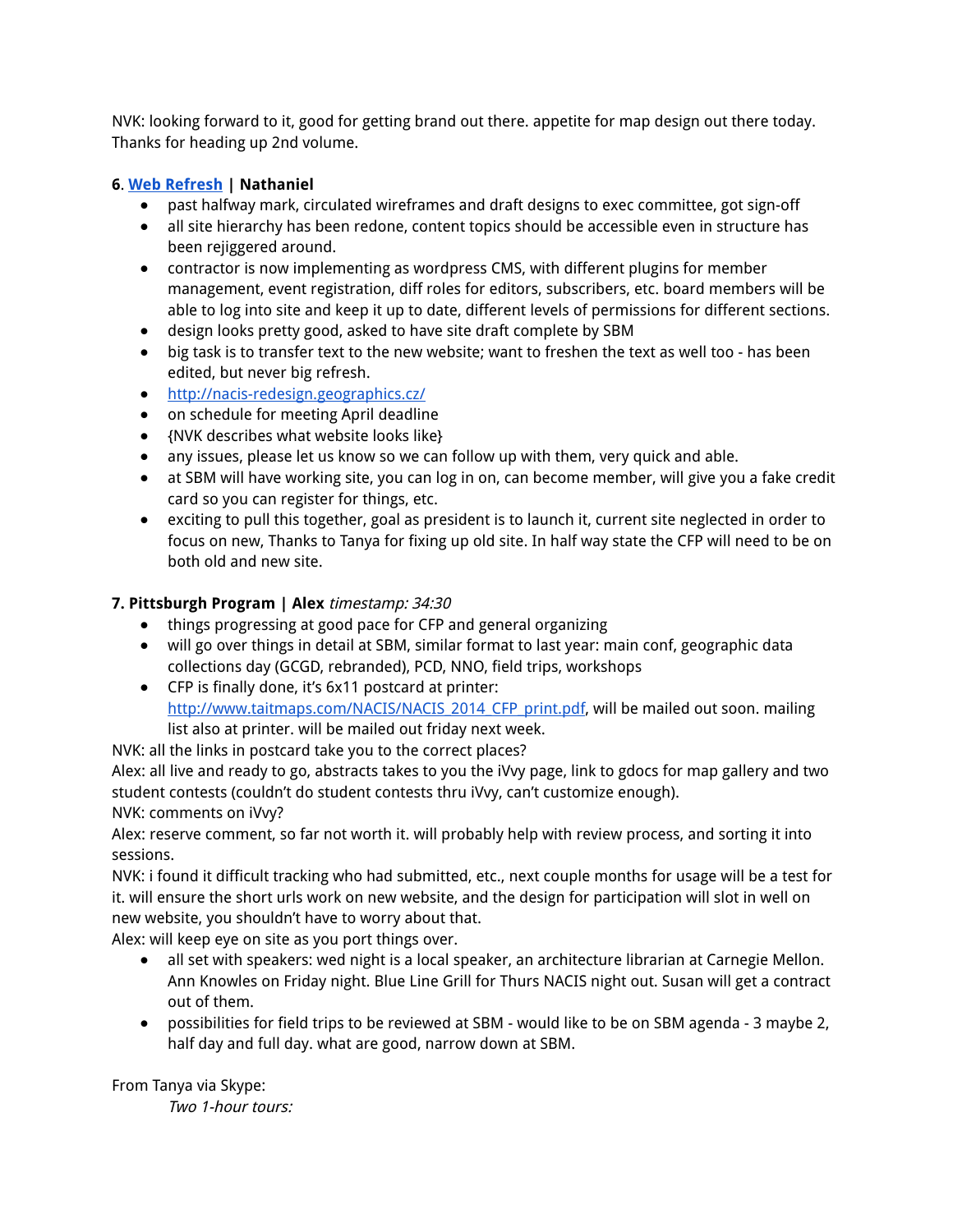NVK: looking forward to it, good for getting brand out there. appetite for map design out there today. Thanks for heading up 2nd volume.

# **6**. **Web Refresh | Nathaniel**

- past halfway mark, circulated wireframes and draft designs to exec committee, got sign-off
- all site hierarchy has been redone, content topics should be accessible even in structure has been rejiggered around.
- contractor is now implementing as wordpress CMS, with different plugins for member management, event registration, diff roles for editors, subscribers, etc. board members will be able to log into site and keep it up to date, different levels of permissions for different sections.
- design looks pretty good, asked to have site draft complete by SBM
- big task is to transfer text to the new website; want to freshen the text as well too has been edited, but never big refresh.
- http://nacis-redesign.geographics.cz/
- on schedule for meeting April deadline
- {NVK describes what website looks like}
- any issues, please let us know so we can follow up with them, very quick and able.
- at SBM will have working site, you can log in on, can become member, will give you a fake credit card so you can register for things, etc.
- exciting to pull this together, goal as president is to launch it, current site neglected in order to focus on new, Thanks to Tanya for fixing up old site. In half way state the CFP will need to be on both old and new site.

# **7. Pittsburgh Program | Alex** timestamp: 34:30

- things progressing at good pace for CFP and general organizing
- will go over things in detail at SBM, similar format to last year: main conf, geographic data collections day (GCGD, rebranded), PCD, NNO, field trips, workshops
- CFP is finally done, it's 6x11 postcard at printer: http://www.taitmaps.com/NACIS/NACIS\_2014\_CFP\_print.pdf, will be mailed out soon. mailing list also at printer. will be mailed out friday next week.

NVK: all the links in postcard take you to the correct places?

Alex: all live and ready to go, abstracts takes to you the iVvy page, link to gdocs for map gallery and two student contests (couldn't do student contests thru iVvy, can't customize enough).

NVK: comments on iVvy?

Alex: reserve comment, so far not worth it. will probably help with review process, and sorting it into sessions.

NVK: i found it difficult tracking who had submitted, etc., next couple months for usage will be a test for it. will ensure the short urls work on new website, and the design for participation will slot in well on new website, you shouldn't have to worry about that.

Alex: will keep eye on site as you port things over.

- all set with speakers: wed night is a local speaker, an architecture librarian at Carnegie Mellon. Ann Knowles on Friday night. Blue Line Grill for Thurs NACIS night out. Susan will get a contract out of them.
- possibilities for field trips to be reviewed at SBM would like to be on SBM agenda 3 maybe 2, half day and full day. what are good, narrow down at SBM.

From Tanya via Skype: Two 1-hour tours: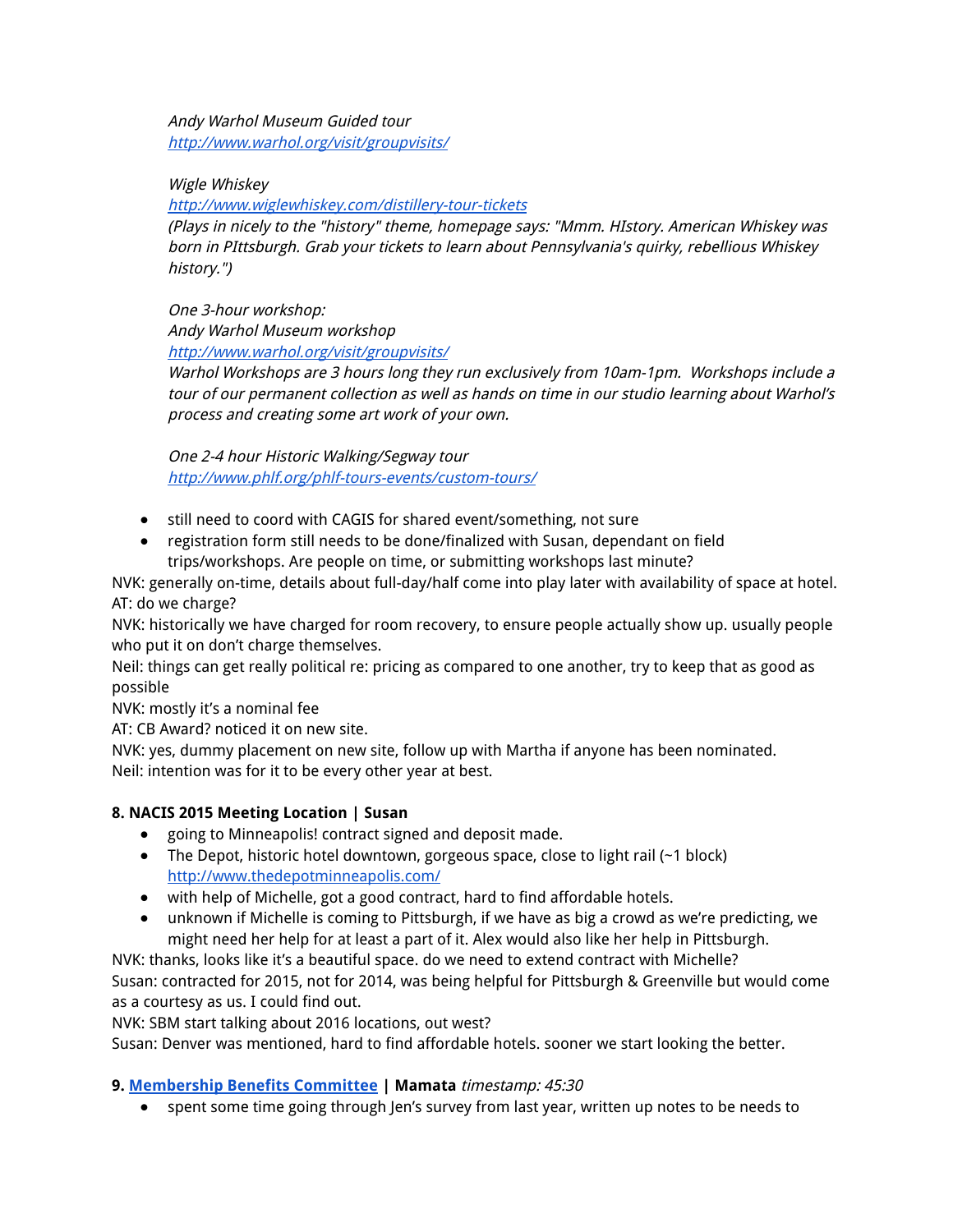Andy Warhol Museum Guided tour http://www.warhol.org/visit/groupvisits/

Wigle Whiskey

http://www.wiglewhiskey.com/distillery-tour-tickets

(Plays in nicely to the "history" theme, homepage says: "Mmm. HIstory. American Whiskey was born in PIttsburgh. Grab your tickets to learn about Pennsylvania's quirky, rebellious Whiskey history.")

One 3-hour workshop: Andy Warhol Museum workshop http://www.warhol.org/visit/groupvisits/

Warhol Workshops are 3 hours long they run exclusively from 10am-1pm. Workshops include <sup>a</sup> tour of our permanent collection as well as hands on time in our studio learning about Warhol's process and creating some art work of your own.

One 2-4 hour Historic Walking/Segway tour http://www.phlf.org/phlf-tours-events/custom-tours/

- still need to coord with CAGIS for shared event/something, not sure
- registration form still needs to be done/finalized with Susan, dependant on field trips/workshops. Are people on time, or submitting workshops last minute?

NVK: generally on-time, details about full-day/half come into play later with availability of space at hotel. AT: do we charge?

NVK: historically we have charged for room recovery, to ensure people actually show up. usually people who put it on don't charge themselves.

Neil: things can get really political re: pricing as compared to one another, try to keep that as good as possible

NVK: mostly it's a nominal fee

AT: CB Award? noticed it on new site.

NVK: yes, dummy placement on new site, follow up with Martha if anyone has been nominated. Neil: intention was for it to be every other year at best.

## **8. NACIS 2015 Meeting Location | Susan**

- going to Minneapolis! contract signed and deposit made.
- The Depot, historic hotel downtown, gorgeous space, close to light rail (~1 block) http://www.thedepotminneapolis.com/
- with help of Michelle, got a good contract, hard to find affordable hotels.
- unknown if Michelle is coming to Pittsburgh, if we have as big a crowd as we're predicting, we might need her help for at least a part of it. Alex would also like her help in Pittsburgh.

NVK: thanks, looks like it's a beautiful space. do we need to extend contract with Michelle? Susan: contracted for 2015, not for 2014, was being helpful for Pittsburgh & Greenville but would come as a courtesy as us. I could find out.

NVK: SBM start talking about 2016 locations, out west?

Susan: Denver was mentioned, hard to find affordable hotels. sooner we start looking the better.

## **9. Membership Benefits Committee | Mamata** timestamp: 45:30

● spent some time going through Jen's survey from last year, written up notes to be needs to